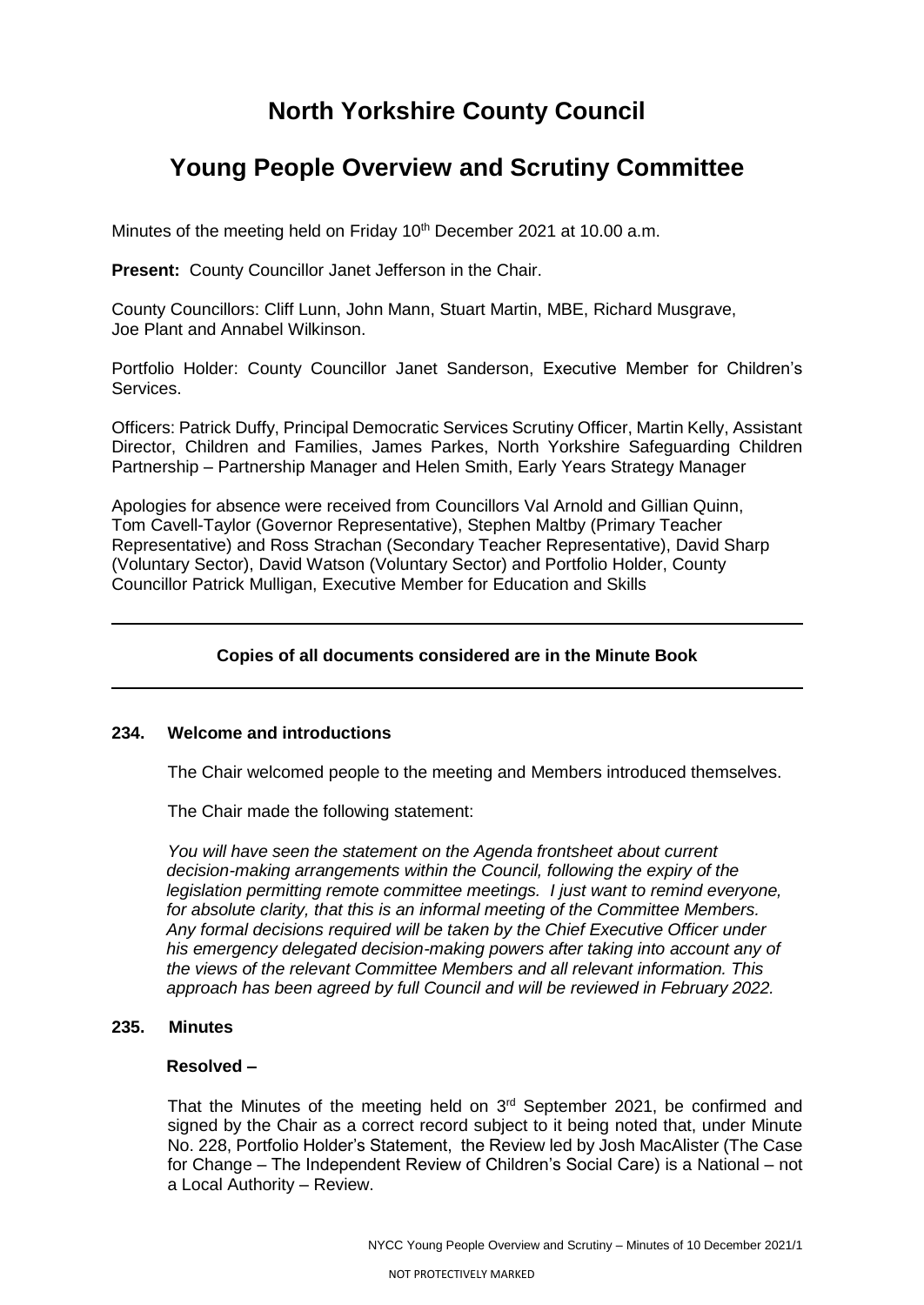# **North Yorkshire County Council**

# **Young People Overview and Scrutiny Committee**

Minutes of the meeting held on Friday 10<sup>th</sup> December 2021 at 10.00 a.m.

**Present:** County Councillor Janet Jefferson in the Chair.

County Councillors: Cliff Lunn, John Mann, Stuart Martin, MBE, Richard Musgrave, Joe Plant and Annabel Wilkinson.

Portfolio Holder: County Councillor Janet Sanderson, Executive Member for Children's Services.

Officers: Patrick Duffy, Principal Democratic Services Scrutiny Officer, Martin Kelly, Assistant Director, Children and Families, James Parkes, North Yorkshire Safeguarding Children Partnership – Partnership Manager and Helen Smith, Early Years Strategy Manager

Apologies for absence were received from Councillors Val Arnold and Gillian Quinn, Tom Cavell-Taylor (Governor Representative), Stephen Maltby (Primary Teacher Representative) and Ross Strachan (Secondary Teacher Representative), David Sharp (Voluntary Sector), David Watson (Voluntary Sector) and Portfolio Holder, County Councillor Patrick Mulligan, Executive Member for Education and Skills

# **Copies of all documents considered are in the Minute Book**

#### **234. Welcome and introductions**

The Chair welcomed people to the meeting and Members introduced themselves.

The Chair made the following statement:

*You will have seen the statement on the Agenda frontsheet about current decision-making arrangements within the Council, following the expiry of the legislation permitting remote committee meetings. I just want to remind everyone, for absolute clarity, that this is an informal meeting of the Committee Members. Any formal decisions required will be taken by the Chief Executive Officer under his emergency delegated decision-making powers after taking into account any of the views of the relevant Committee Members and all relevant information. This approach has been agreed by full Council and will be reviewed in February 2022.*

#### **235. Minutes**

#### **Resolved –**

That the Minutes of the meeting held on  $3<sup>rd</sup>$  September 2021, be confirmed and signed by the Chair as a correct record subject to it being noted that, under Minute No. 228, Portfolio Holder's Statement, the Review led by Josh MacAlister (The Case for Change – The Independent Review of Children's Social Care) is a National – not a Local Authority – Review.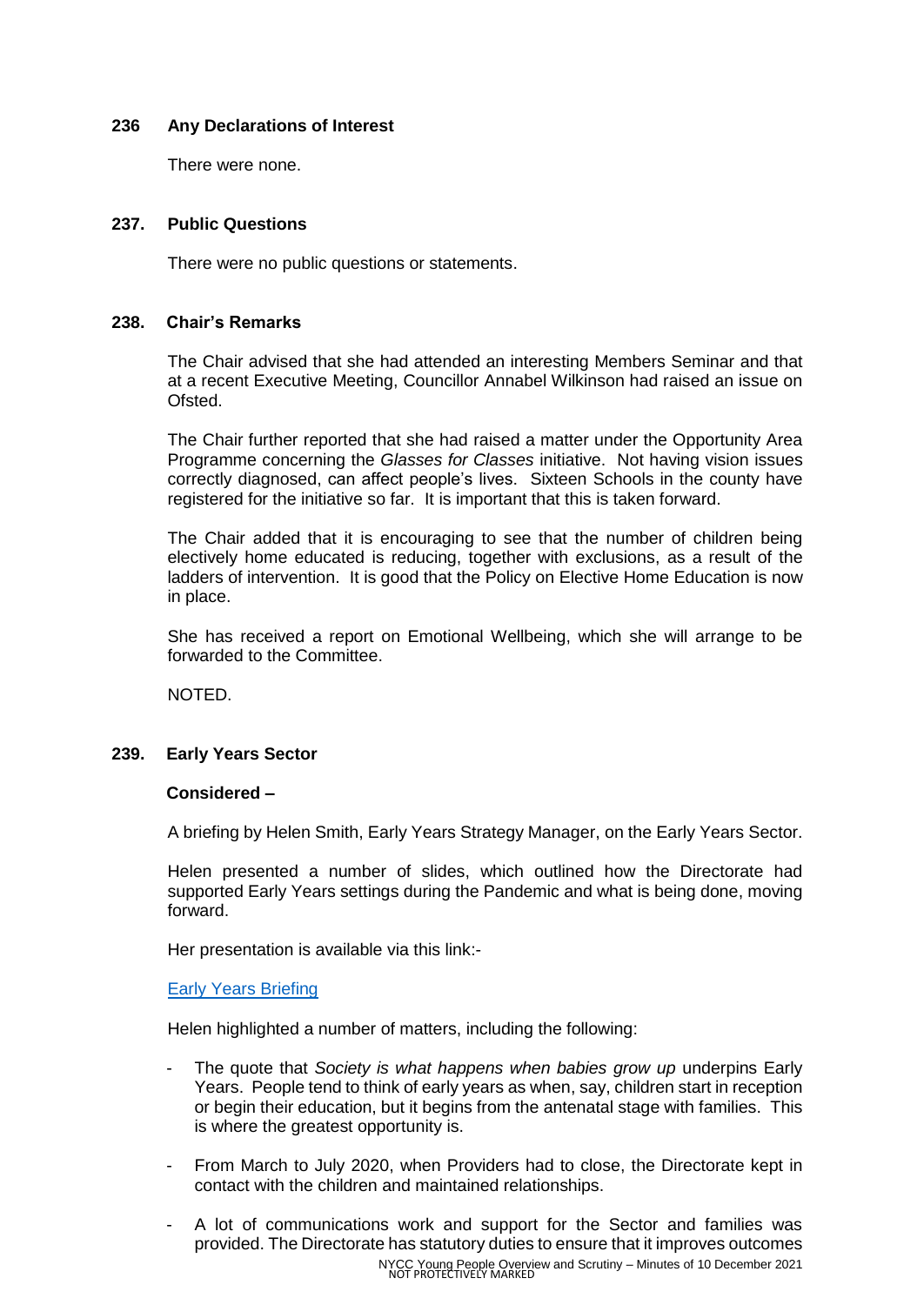## **236 Any Declarations of Interest**

There were none.

## **237. Public Questions**

There were no public questions or statements.

#### **238. Chair's Remarks**

The Chair advised that she had attended an interesting Members Seminar and that at a recent Executive Meeting, Councillor Annabel Wilkinson had raised an issue on Ofsted.

The Chair further reported that she had raised a matter under the Opportunity Area Programme concerning the *Glasses for Classes* initiative. Not having vision issues correctly diagnosed, can affect people's lives. Sixteen Schools in the county have registered for the initiative so far. It is important that this is taken forward.

The Chair added that it is encouraging to see that the number of children being electively home educated is reducing, together with exclusions, as a result of the ladders of intervention. It is good that the Policy on Elective Home Education is now in place.

She has received a report on Emotional Wellbeing, which she will arrange to be forwarded to the Committee.

NOTED.

#### **239. Early Years Sector**

#### **Considered –**

A briefing by Helen Smith, Early Years Strategy Manager, on the Early Years Sector.

Helen presented a number of slides, which outlined how the Directorate had supported Early Years settings during the Pandemic and what is being done, moving forward.

Her presentation is available via this link:-

#### [Early Years Briefing](https://edemocracy.northyorks.gov.uk/documents/s10344/06%20Early%20Years%20Briefing%20-%20Support%20during%20Covid-19%20and%20in%20the%20future.pdf)

Helen highlighted a number of matters, including the following:

- The quote that *Society is what happens when babies grow up* underpins Early Years. People tend to think of early years as when, say, children start in reception or begin their education, but it begins from the antenatal stage with families. This is where the greatest opportunity is.
- From March to July 2020, when Providers had to close, the Directorate kept in contact with the children and maintained relationships.
- NYCC Young People Overview and Scrutiny Minutes of 10 December 2021 NOT PROTECTIVELY MARKED - A lot of communications work and support for the Sector and families was provided. The Directorate has statutory duties to ensure that it improves outcomes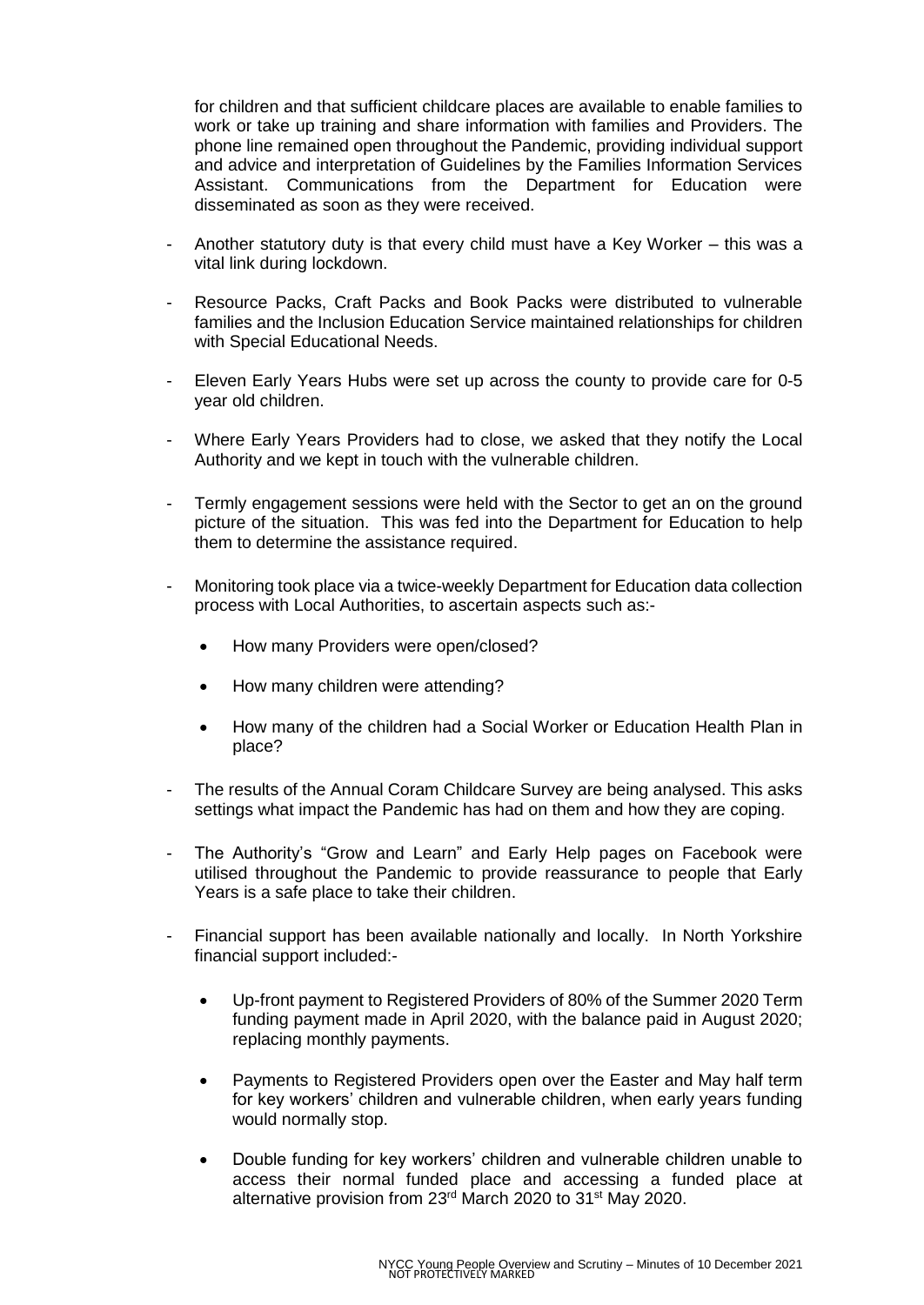for children and that sufficient childcare places are available to enable families to work or take up training and share information with families and Providers. The phone line remained open throughout the Pandemic, providing individual support and advice and interpretation of Guidelines by the Families Information Services Assistant. Communications from the Department for Education were disseminated as soon as they were received.

- Another statutory duty is that every child must have a Key Worker this was a vital link during lockdown.
- Resource Packs, Craft Packs and Book Packs were distributed to vulnerable families and the Inclusion Education Service maintained relationships for children with Special Educational Needs.
- Eleven Early Years Hubs were set up across the county to provide care for 0-5 year old children.
- Where Early Years Providers had to close, we asked that they notify the Local Authority and we kept in touch with the vulnerable children.
- Termly engagement sessions were held with the Sector to get an on the ground picture of the situation. This was fed into the Department for Education to help them to determine the assistance required.
- Monitoring took place via a twice-weekly Department for Education data collection process with Local Authorities, to ascertain aspects such as:-
	- How many Providers were open/closed?
	- How many children were attending?
	- How many of the children had a Social Worker or Education Health Plan in place?
- The results of the Annual Coram Childcare Survey are being analysed. This asks settings what impact the Pandemic has had on them and how they are coping.
- The Authority's "Grow and Learn" and Early Help pages on Facebook were utilised throughout the Pandemic to provide reassurance to people that Early Years is a safe place to take their children.
- Financial support has been available nationally and locally. In North Yorkshire financial support included:-
	- Up-front payment to Registered Providers of 80% of the Summer 2020 Term funding payment made in April 2020, with the balance paid in August 2020; replacing monthly payments.
	- Payments to Registered Providers open over the Easter and May half term for key workers' children and vulnerable children, when early years funding would normally stop.
	- Double funding for key workers' children and vulnerable children unable to access their normal funded place and accessing a funded place at alternative provision from 23<sup>rd</sup> March 2020 to 31<sup>st</sup> May 2020.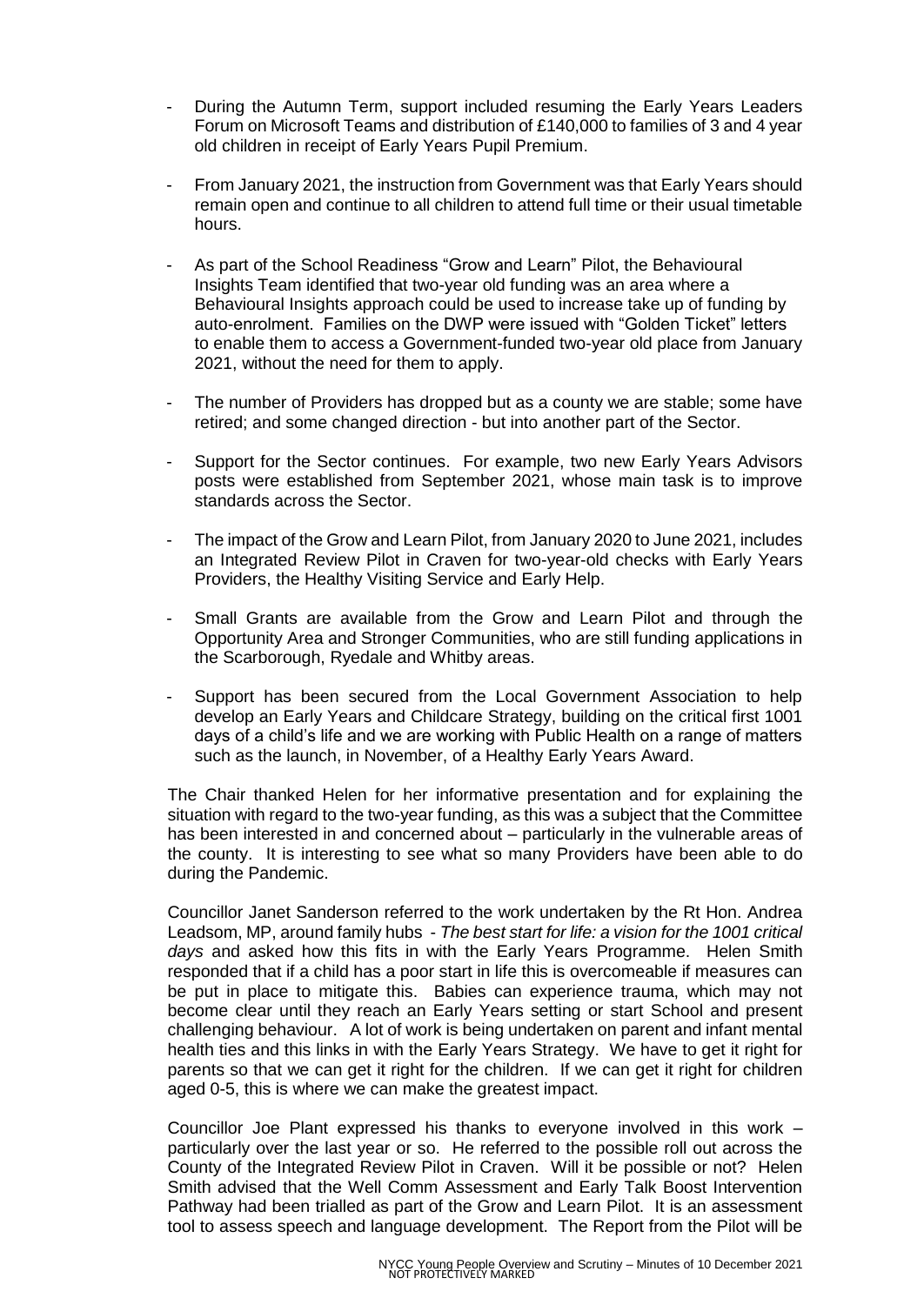- During the Autumn Term, support included resuming the Early Years Leaders Forum on Microsoft Teams and distribution of £140,000 to families of 3 and 4 year old children in receipt of Early Years Pupil Premium.
- From January 2021, the instruction from Government was that Early Years should remain open and continue to all children to attend full time or their usual timetable hours.
- As part of the School Readiness "Grow and Learn" Pilot, the Behavioural Insights Team identified that two-year old funding was an area where a Behavioural Insights approach could be used to increase take up of funding by auto-enrolment. Families on the DWP were issued with "Golden Ticket" letters to enable them to access a Government-funded two-year old place from January 2021, without the need for them to apply.
- The number of Providers has dropped but as a county we are stable; some have retired; and some changed direction - but into another part of the Sector.
- Support for the Sector continues. For example, two new Early Years Advisors posts were established from September 2021, whose main task is to improve standards across the Sector.
- The impact of the Grow and Learn Pilot, from January 2020 to June 2021, includes an Integrated Review Pilot in Craven for two-year-old checks with Early Years Providers, the Healthy Visiting Service and Early Help.
- Small Grants are available from the Grow and Learn Pilot and through the Opportunity Area and Stronger Communities, who are still funding applications in the Scarborough, Ryedale and Whitby areas.
- Support has been secured from the Local Government Association to help develop an Early Years and Childcare Strategy, building on the critical first 1001 days of a child's life and we are working with Public Health on a range of matters such as the launch, in November, of a Healthy Early Years Award.

The Chair thanked Helen for her informative presentation and for explaining the situation with regard to the two-year funding, as this was a subject that the Committee has been interested in and concerned about – particularly in the vulnerable areas of the county. It is interesting to see what so many Providers have been able to do during the Pandemic.

Councillor Janet Sanderson referred to the work undertaken by the Rt Hon. Andrea Leadsom, MP, around family hubs - *The best start for life: a vision for the 1001 critical days* and asked how this fits in with the Early Years Programme. Helen Smith responded that if a child has a poor start in life this is overcomeable if measures can be put in place to mitigate this. Babies can experience trauma, which may not become clear until they reach an Early Years setting or start School and present challenging behaviour. A lot of work is being undertaken on parent and infant mental health ties and this links in with the Early Years Strategy. We have to get it right for parents so that we can get it right for the children. If we can get it right for children aged 0-5, this is where we can make the greatest impact.

Councillor Joe Plant expressed his thanks to everyone involved in this work – particularly over the last year or so. He referred to the possible roll out across the County of the Integrated Review Pilot in Craven. Will it be possible or not? Helen Smith advised that the Well Comm Assessment and Early Talk Boost Intervention Pathway had been trialled as part of the Grow and Learn Pilot. It is an assessment tool to assess speech and language development. The Report from the Pilot will be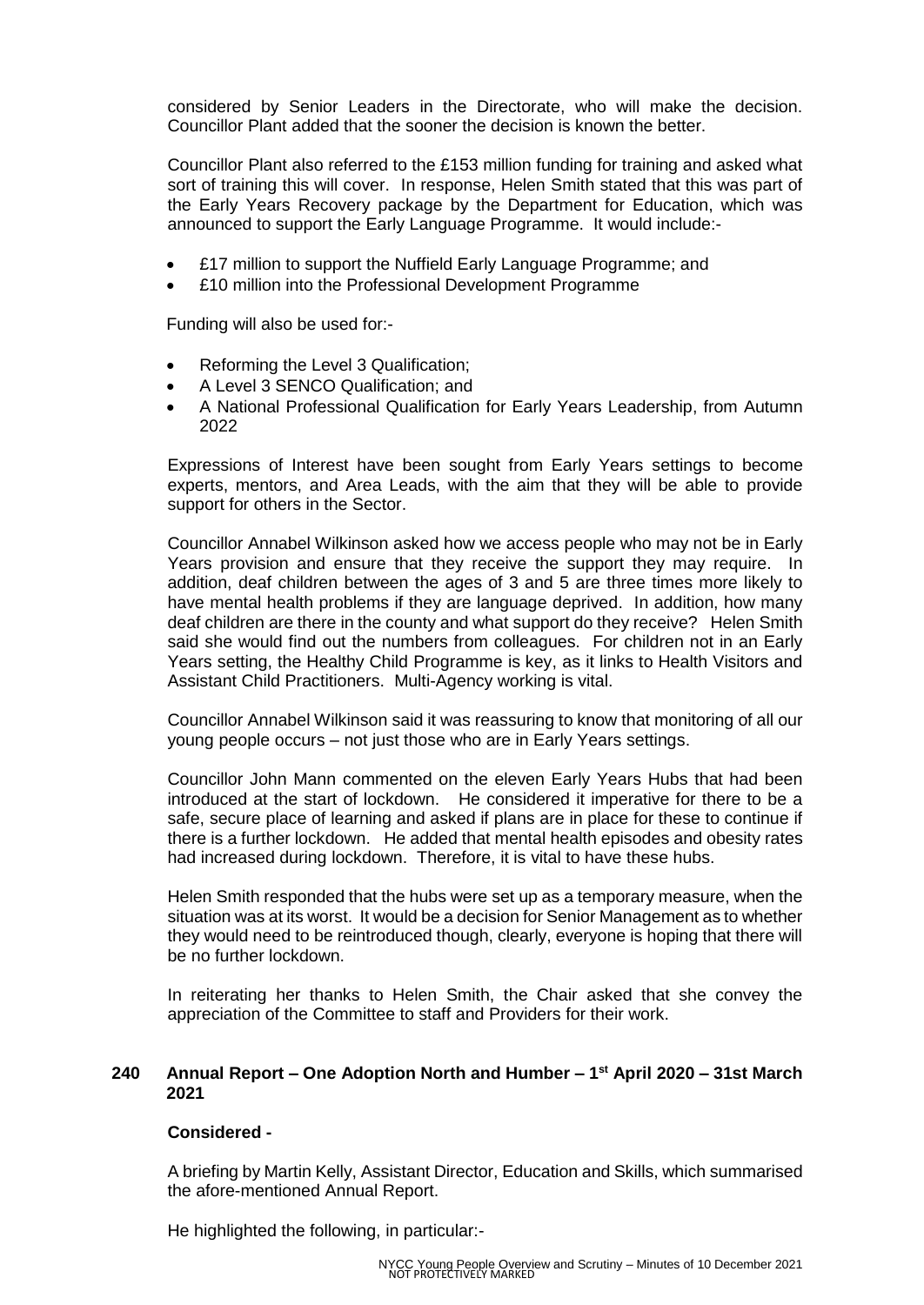considered by Senior Leaders in the Directorate, who will make the decision. Councillor Plant added that the sooner the decision is known the better.

Councillor Plant also referred to the £153 million funding for training and asked what sort of training this will cover. In response, Helen Smith stated that this was part of the Early Years Recovery package by the Department for Education, which was announced to support the Early Language Programme. It would include:-

- £17 million to support the Nuffield Early Language Programme; and
- £10 million into the Professional Development Programme

Funding will also be used for:-

- Reforming the Level 3 Qualification;
- A Level 3 SENCO Qualification; and
- A National Professional Qualification for Early Years Leadership, from Autumn 2022

Expressions of Interest have been sought from Early Years settings to become experts, mentors, and Area Leads, with the aim that they will be able to provide support for others in the Sector.

Councillor Annabel Wilkinson asked how we access people who may not be in Early Years provision and ensure that they receive the support they may require. In addition, deaf children between the ages of 3 and 5 are three times more likely to have mental health problems if they are language deprived. In addition, how many deaf children are there in the county and what support do they receive? Helen Smith said she would find out the numbers from colleagues. For children not in an Early Years setting, the Healthy Child Programme is key, as it links to Health Visitors and Assistant Child Practitioners. Multi-Agency working is vital.

Councillor Annabel Wilkinson said it was reassuring to know that monitoring of all our young people occurs – not just those who are in Early Years settings.

Councillor John Mann commented on the eleven Early Years Hubs that had been introduced at the start of lockdown. He considered it imperative for there to be a safe, secure place of learning and asked if plans are in place for these to continue if there is a further lockdown. He added that mental health episodes and obesity rates had increased during lockdown. Therefore, it is vital to have these hubs.

Helen Smith responded that the hubs were set up as a temporary measure, when the situation was at its worst. It would be a decision for Senior Management as to whether they would need to be reintroduced though, clearly, everyone is hoping that there will be no further lockdown.

In reiterating her thanks to Helen Smith, the Chair asked that she convey the appreciation of the Committee to staff and Providers for their work.

## **240 Annual Report – One Adoption North and Humber – 1 st April 2020 – 31st March 2021**

## **Considered -**

A briefing by Martin Kelly, Assistant Director, Education and Skills, which summarised the afore-mentioned Annual Report.

He highlighted the following, in particular:-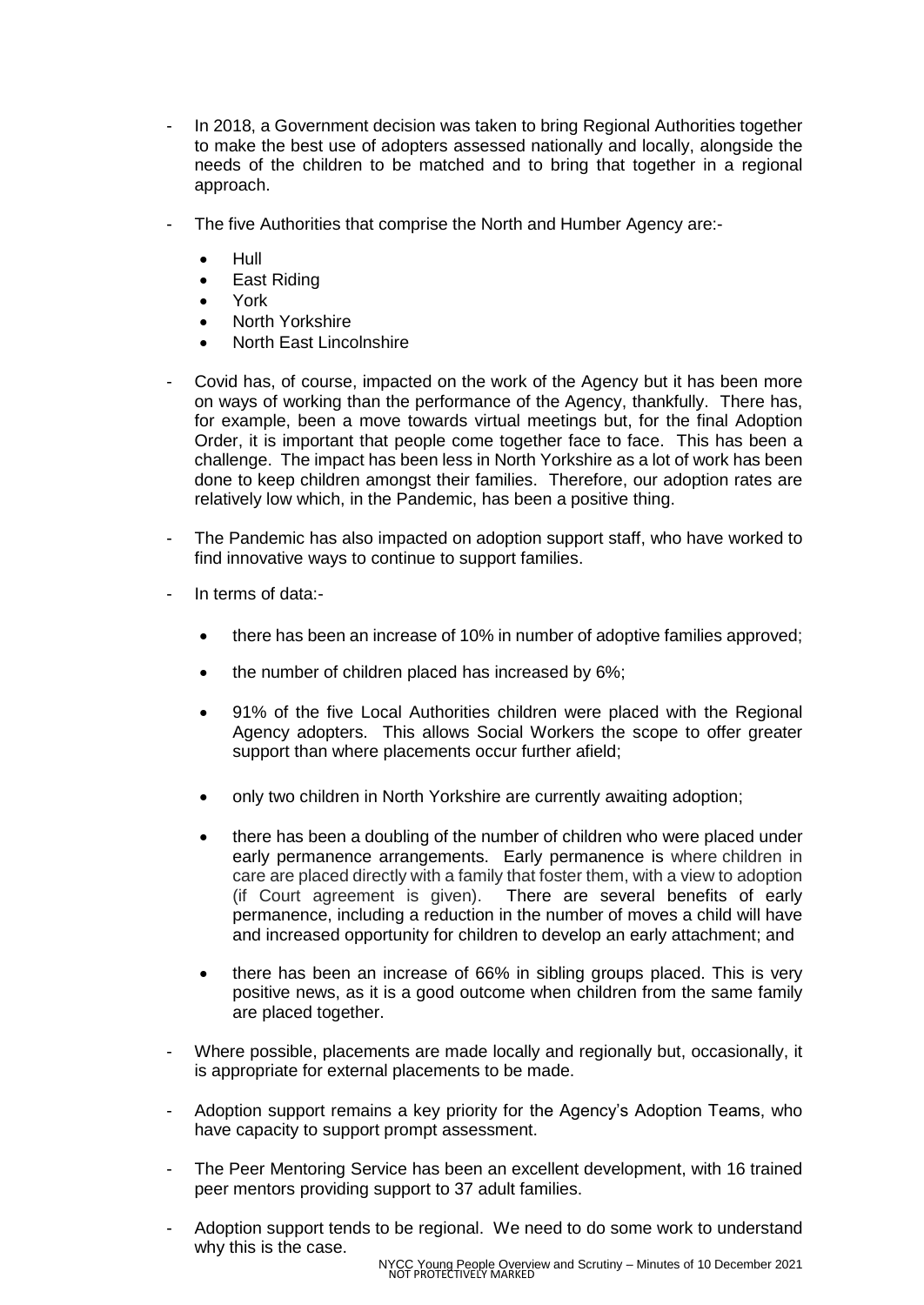- In 2018, a Government decision was taken to bring Regional Authorities together to make the best use of adopters assessed nationally and locally, alongside the needs of the children to be matched and to bring that together in a regional approach.
- The five Authorities that comprise the North and Humber Agency are:-
	- $\bullet$  Hull
	- **•** East Riding
	- York
	- North Yorkshire
	- North East Lincolnshire
- Covid has, of course, impacted on the work of the Agency but it has been more on ways of working than the performance of the Agency, thankfully. There has, for example, been a move towards virtual meetings but, for the final Adoption Order, it is important that people come together face to face. This has been a challenge. The impact has been less in North Yorkshire as a lot of work has been done to keep children amongst their families. Therefore, our adoption rates are relatively low which, in the Pandemic, has been a positive thing.
- The Pandemic has also impacted on adoption support staff, who have worked to find innovative ways to continue to support families.
- In terms of data:-
	- there has been an increase of 10% in number of adoptive families approved;
	- the number of children placed has increased by 6%;
	- 91% of the five Local Authorities children were placed with the Regional Agency adopters. This allows Social Workers the scope to offer greater support than where placements occur further afield;
	- only two children in North Yorkshire are currently awaiting adoption;
	- there has been a doubling of the number of children who were placed under early permanence arrangements. Early permanence is where children in care are placed directly with a family that foster them, with a view to adoption (if Court agreement is given). There are several benefits of early permanence, including a reduction in the number of moves a child will have and increased opportunity for children to develop an early attachment; and
	- there has been an increase of 66% in sibling groups placed. This is very positive news, as it is a good outcome when children from the same family are placed together.
- Where possible, placements are made locally and regionally but, occasionally, it is appropriate for external placements to be made.
- Adoption support remains a key priority for the Agency's Adoption Teams, who have capacity to support prompt assessment.
- The Peer Mentoring Service has been an excellent development, with 16 trained peer mentors providing support to 37 adult families.
- Adoption support tends to be regional. We need to do some work to understand why this is the case.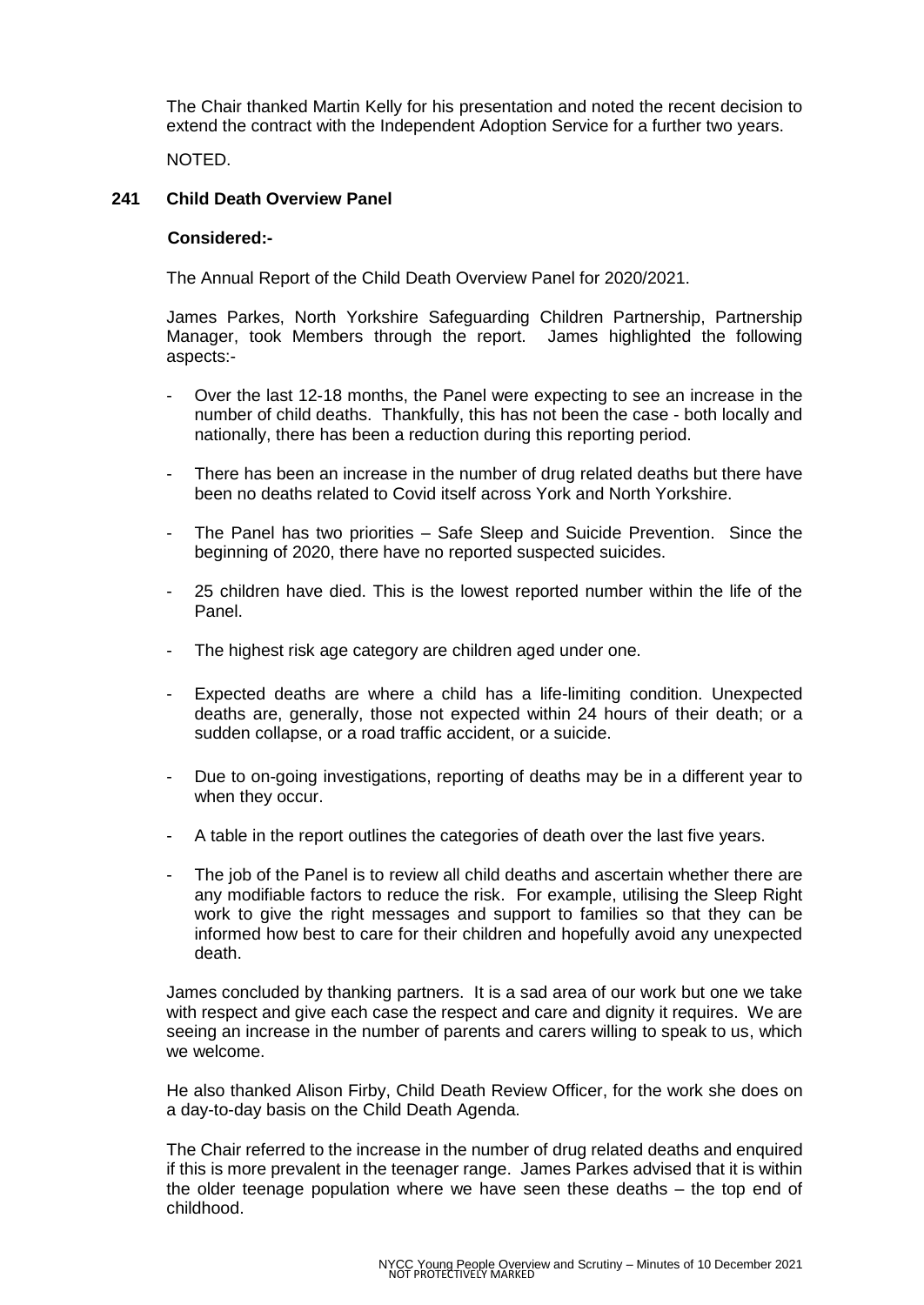The Chair thanked Martin Kelly for his presentation and noted the recent decision to extend the contract with the Independent Adoption Service for a further two years.

NOTED.

## **241 Child Death Overview Panel**

#### **Considered:-**

The Annual Report of the Child Death Overview Panel for 2020/2021.

James Parkes, North Yorkshire Safeguarding Children Partnership, Partnership Manager, took Members through the report. James highlighted the following aspects:-

- Over the last 12-18 months, the Panel were expecting to see an increase in the number of child deaths. Thankfully, this has not been the case - both locally and nationally, there has been a reduction during this reporting period.
- There has been an increase in the number of drug related deaths but there have been no deaths related to Covid itself across York and North Yorkshire.
- The Panel has two priorities Safe Sleep and Suicide Prevention. Since the beginning of 2020, there have no reported suspected suicides.
- 25 children have died. This is the lowest reported number within the life of the Panel.
- The highest risk age category are children aged under one.
- Expected deaths are where a child has a life-limiting condition. Unexpected deaths are, generally, those not expected within 24 hours of their death; or a sudden collapse, or a road traffic accident, or a suicide.
- Due to on-going investigations, reporting of deaths may be in a different year to when they occur.
- A table in the report outlines the categories of death over the last five years.
- The job of the Panel is to review all child deaths and ascertain whether there are any modifiable factors to reduce the risk. For example, utilising the Sleep Right work to give the right messages and support to families so that they can be informed how best to care for their children and hopefully avoid any unexpected death.

James concluded by thanking partners. It is a sad area of our work but one we take with respect and give each case the respect and care and dignity it requires. We are seeing an increase in the number of parents and carers willing to speak to us, which we welcome.

He also thanked Alison Firby, Child Death Review Officer, for the work she does on a day-to-day basis on the Child Death Agenda.

The Chair referred to the increase in the number of drug related deaths and enquired if this is more prevalent in the teenager range. James Parkes advised that it is within the older teenage population where we have seen these deaths – the top end of childhood.